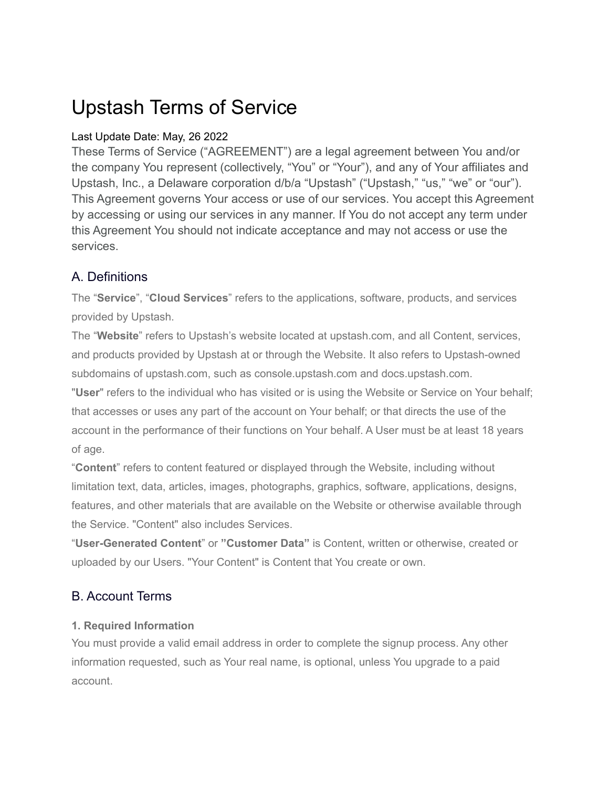# Upstash Terms of Service

# Last Update Date: May, 26 2022

These Terms of Service ("AGREEMENT") are a legal agreement between You and/or the company You represent (collectively, "You" or "Your"), and any of Your affiliates and Upstash, Inc., a Delaware corporation d/b/a "Upstash" ("Upstash," "us," "we" or "our"). This Agreement governs Your access or use of our services. You accept this Agreement by accessing or using our services in any manner. If You do not accept any term under this Agreement You should not indicate acceptance and may not access or use the services.

# A. Definitions

The "**Service**", "**Cloud Services**" refers to the applications, software, products, and services provided by Upstash.

The "**Website**" refers to Upstash's website located at upstash.com, and all Content, services, and products provided by Upstash at or through the Website. It also refers to Upstash-owned subdomains of upstash.com, such as console.upstash.com and docs.upstash.com.

"**User**" refers to the individual who has visited or is using the Website or Service on Your behalf; that accesses or uses any part of the account on Your behalf; or that directs the use of the account in the performance of their functions on Your behalf. A User must be at least 18 years of age.

"**Content**" refers to content featured or displayed through the Website, including without limitation text, data, articles, images, photographs, graphics, software, applications, designs, features, and other materials that are available on the Website or otherwise available through the Service. "Content" also includes Services.

"**User-Generated Content**" or **"Customer Data"** is Content, written or otherwise, created or uploaded by our Users. "Your Content" is Content that You create or own.

# B. Account Terms

#### **1. Required Information**

You must provide a valid email address in order to complete the signup process. Any other information requested, such as Your real name, is optional, unless You upgrade to a paid account.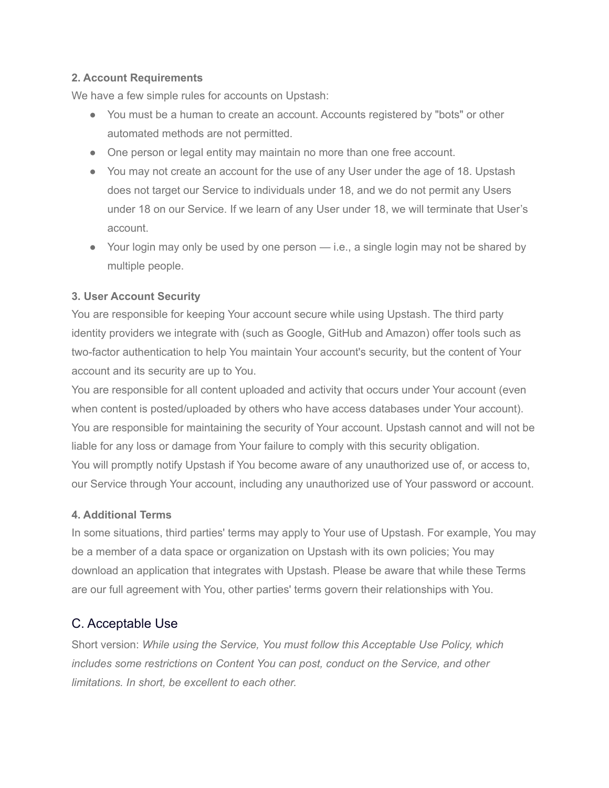#### **2. Account Requirements**

We have a few simple rules for accounts on Upstash:

- You must be a human to create an account. Accounts registered by "bots" or other automated methods are not permitted.
- One person or legal entity may maintain no more than one free account.
- You may not create an account for the use of any User under the age of 18. Upstash does not target our Service to individuals under 18, and we do not permit any Users under 18 on our Service. If we learn of any User under 18, we will terminate that User's account.
- Your login may only be used by one person i.e., a single login may not be shared by multiple people.

#### **3. User Account Security**

You are responsible for keeping Your account secure while using Upstash. The third party identity providers we integrate with (such as Google, GitHub and Amazon) offer tools such as two-factor authentication to help You maintain Your account's security, but the content of Your account and its security are up to You.

You are responsible for all content uploaded and activity that occurs under Your account (even when content is posted/uploaded by others who have access databases under Your account). You are responsible for maintaining the security of Your account. Upstash cannot and will not be liable for any loss or damage from Your failure to comply with this security obligation. You will promptly notify Upstash if You become aware of any unauthorized use of, or access to, our Service through Your account, including any unauthorized use of Your password or account.

#### **4. Additional Terms**

In some situations, third parties' terms may apply to Your use of Upstash. For example, You may be a member of a data space or organization on Upstash with its own policies; You may download an application that integrates with Upstash. Please be aware that while these Terms are our full agreement with You, other parties' terms govern their relationships with You.

# C. Acceptable Use

Short version: *While using the Service, You must follow this Acceptable Use Policy, which includes some restrictions on Content You can post, conduct on the Service, and other limitations. In short, be excellent to each other.*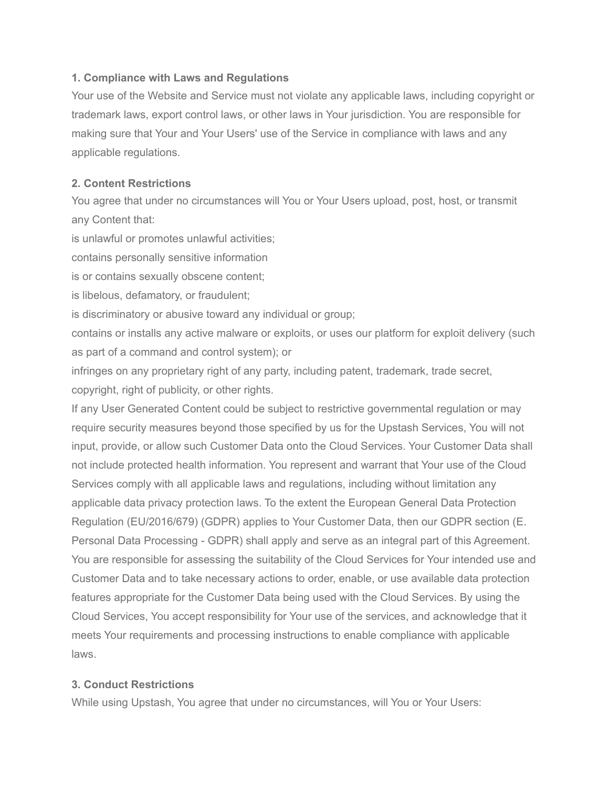#### **1. Compliance with Laws and Regulations**

Your use of the Website and Service must not violate any applicable laws, including copyright or trademark laws, export control laws, or other laws in Your jurisdiction. You are responsible for making sure that Your and Your Users' use of the Service in compliance with laws and any applicable regulations.

#### **2. Content Restrictions**

You agree that under no circumstances will You or Your Users upload, post, host, or transmit any Content that:

is unlawful or promotes unlawful activities;

contains personally sensitive information

is or contains sexually obscene content;

is libelous, defamatory, or fraudulent;

is discriminatory or abusive toward any individual or group;

contains or installs any active malware or exploits, or uses our platform for exploit delivery (such as part of a command and control system); or

infringes on any proprietary right of any party, including patent, trademark, trade secret, copyright, right of publicity, or other rights.

If any User Generated Content could be subject to restrictive governmental regulation or may require security measures beyond those specified by us for the Upstash Services, You will not input, provide, or allow such Customer Data onto the Cloud Services. Your Customer Data shall not include protected health information. You represent and warrant that Your use of the Cloud Services comply with all applicable laws and regulations, including without limitation any applicable data privacy protection laws. To the extent the European General Data Protection Regulation (EU/2016/679) (GDPR) applies to Your Customer Data, then our GDPR section (E. Personal Data Processing - GDPR) shall apply and serve as an integral part of this Agreement. You are responsible for assessing the suitability of the Cloud Services for Your intended use and Customer Data and to take necessary actions to order, enable, or use available data protection features appropriate for the Customer Data being used with the Cloud Services. By using the Cloud Services, You accept responsibility for Your use of the services, and acknowledge that it meets Your requirements and processing instructions to enable compliance with applicable laws.

#### **3. Conduct Restrictions**

While using Upstash, You agree that under no circumstances, will You or Your Users: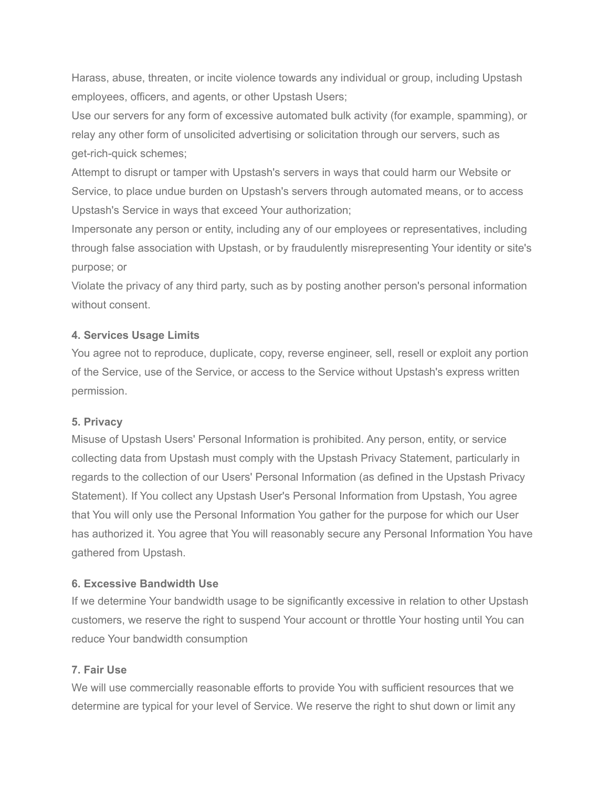Harass, abuse, threaten, or incite violence towards any individual or group, including Upstash employees, officers, and agents, or other Upstash Users;

Use our servers for any form of excessive automated bulk activity (for example, spamming), or relay any other form of unsolicited advertising or solicitation through our servers, such as get-rich-quick schemes;

Attempt to disrupt or tamper with Upstash's servers in ways that could harm our Website or Service, to place undue burden on Upstash's servers through automated means, or to access Upstash's Service in ways that exceed Your authorization;

Impersonate any person or entity, including any of our employees or representatives, including through false association with Upstash, or by fraudulently misrepresenting Your identity or site's purpose; or

Violate the privacy of any third party, such as by posting another person's personal information without consent.

#### **4. Services Usage Limits**

You agree not to reproduce, duplicate, copy, reverse engineer, sell, resell or exploit any portion of the Service, use of the Service, or access to the Service without Upstash's express written permission.

#### **5. Privacy**

Misuse of Upstash Users' Personal Information is prohibited. Any person, entity, or service collecting data from Upstash must comply with the Upstash Privacy Statement, particularly in regards to the collection of our Users' Personal Information (as defined in the Upstash Privacy Statement). If You collect any Upstash User's Personal Information from Upstash, You agree that You will only use the Personal Information You gather for the purpose for which our User has authorized it. You agree that You will reasonably secure any Personal Information You have gathered from Upstash.

#### **6. Excessive Bandwidth Use**

If we determine Your bandwidth usage to be significantly excessive in relation to other Upstash customers, we reserve the right to suspend Your account or throttle Your hosting until You can reduce Your bandwidth consumption

#### **7. Fair Use**

We will use commercially reasonable efforts to provide You with sufficient resources that we determine are typical for your level of Service. We reserve the right to shut down or limit any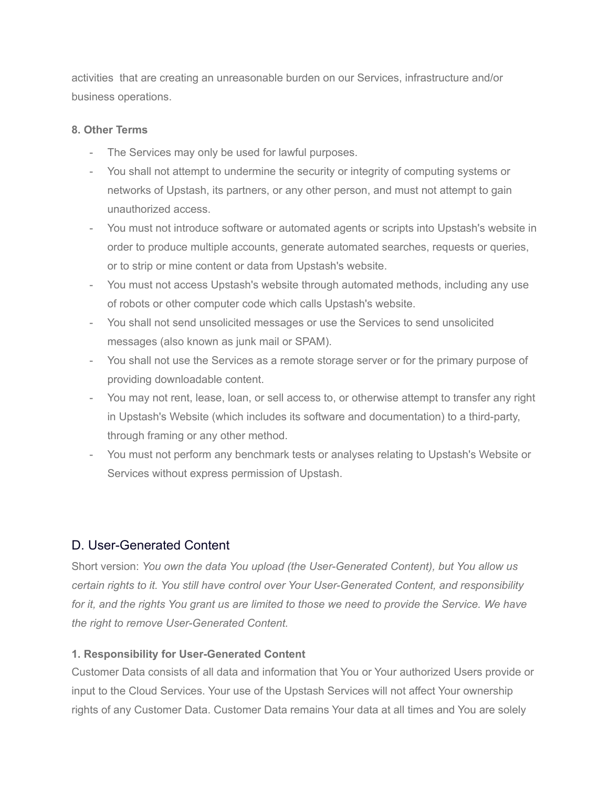activities that are creating an unreasonable burden on our Services, infrastructure and/or business operations.

#### **8. Other Terms**

- The Services may only be used for lawful purposes.
- You shall not attempt to undermine the security or integrity of computing systems or networks of Upstash, its partners, or any other person, and must not attempt to gain unauthorized access.
- You must not introduce software or automated agents or scripts into Upstash's website in order to produce multiple accounts, generate automated searches, requests or queries, or to strip or mine content or data from Upstash's website.
- You must not access Upstash's website through automated methods, including any use of robots or other computer code which calls Upstash's website.
- You shall not send unsolicited messages or use the Services to send unsolicited messages (also known as junk mail or SPAM).
- You shall not use the Services as a remote storage server or for the primary purpose of providing downloadable content.
- You may not rent, lease, loan, or sell access to, or otherwise attempt to transfer any right in Upstash's Website (which includes its software and documentation) to a third-party, through framing or any other method.
- You must not perform any benchmark tests or analyses relating to Upstash's Website or Services without express permission of Upstash.

# D. User-Generated Content

Short version: *You own the data You upload (the User-Generated Content), but You allow us certain rights to it. You still have control over Your User-Generated Content, and responsibility* for it, and the rights You grant us are limited to those we need to provide the Service. We have *the right to remove User-Generated Content.*

# **1. Responsibility for User-Generated Content**

Customer Data consists of all data and information that You or Your authorized Users provide or input to the Cloud Services. Your use of the Upstash Services will not affect Your ownership rights of any Customer Data. Customer Data remains Your data at all times and You are solely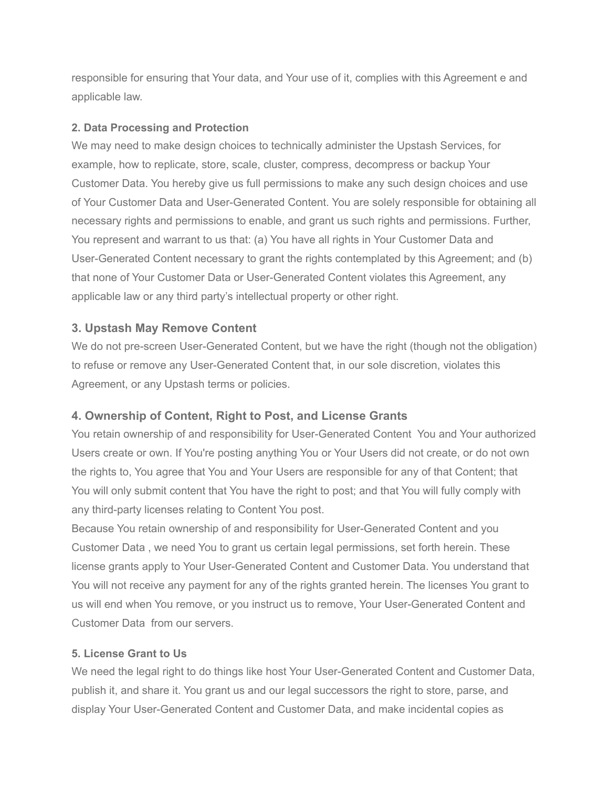responsible for ensuring that Your data, and Your use of it, complies with this Agreement e and applicable law.

#### **2. Data Processing and Protection**

We may need to make design choices to technically administer the Upstash Services, for example, how to replicate, store, scale, cluster, compress, decompress or backup Your Customer Data. You hereby give us full permissions to make any such design choices and use of Your Customer Data and User-Generated Content. You are solely responsible for obtaining all necessary rights and permissions to enable, and grant us such rights and permissions. Further, You represent and warrant to us that: (a) You have all rights in Your Customer Data and User-Generated Content necessary to grant the rights contemplated by this Agreement; and (b) that none of Your Customer Data or User-Generated Content violates this Agreement, any applicable law or any third party's intellectual property or other right.

# **3. Upstash May Remove Content**

We do not pre-screen User-Generated Content, but we have the right (though not the obligation) to refuse or remove any User-Generated Content that, in our sole discretion, violates this Agreement, or any Upstash terms or policies.

# **4. Ownership of Content, Right to Post, and License Grants**

You retain ownership of and responsibility for User-Generated Content You and Your authorized Users create or own. If You're posting anything You or Your Users did not create, or do not own the rights to, You agree that You and Your Users are responsible for any of that Content; that You will only submit content that You have the right to post; and that You will fully comply with any third-party licenses relating to Content You post.

Because You retain ownership of and responsibility for User-Generated Content and you Customer Data , we need You to grant us certain legal permissions, set forth herein. These license grants apply to Your User-Generated Content and Customer Data. You understand that You will not receive any payment for any of the rights granted herein. The licenses You grant to us will end when You remove, or you instruct us to remove, Your User-Generated Content and Customer Data from our servers.

# **5. License Grant to Us**

We need the legal right to do things like host Your User-Generated Content and Customer Data, publish it, and share it. You grant us and our legal successors the right to store, parse, and display Your User-Generated Content and Customer Data, and make incidental copies as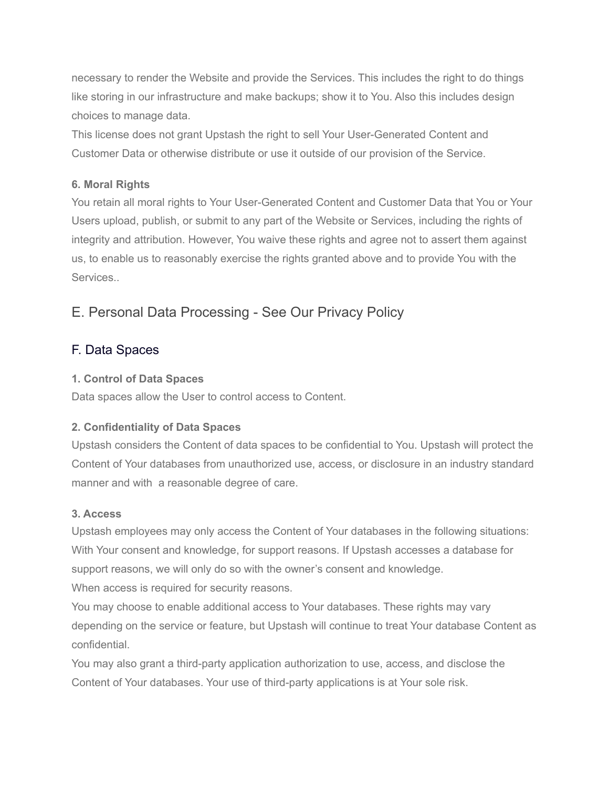necessary to render the Website and provide the Services. This includes the right to do things like storing in our infrastructure and make backups; show it to You. Also this includes design choices to manage data.

This license does not grant Upstash the right to sell Your User-Generated Content and Customer Data or otherwise distribute or use it outside of our provision of the Service.

#### **6. Moral Rights**

You retain all moral rights to Your User-Generated Content and Customer Data that You or Your Users upload, publish, or submit to any part of the Website or Services, including the rights of integrity and attribution. However, You waive these rights and agree not to assert them against us, to enable us to reasonably exercise the rights granted above and to provide You with the Services..

# E. Personal Data Processing - See Our Privacy Policy

# F. Data Spaces

#### **1. Control of Data Spaces**

Data spaces allow the User to control access to Content.

# **2. Confidentiality of Data Spaces**

Upstash considers the Content of data spaces to be confidential to You. Upstash will protect the Content of Your databases from unauthorized use, access, or disclosure in an industry standard manner and with a reasonable degree of care.

#### **3. Access**

Upstash employees may only access the Content of Your databases in the following situations: With Your consent and knowledge, for support reasons. If Upstash accesses a database for support reasons, we will only do so with the owner's consent and knowledge. When access is required for security reasons.

You may choose to enable additional access to Your databases. These rights may vary depending on the service or feature, but Upstash will continue to treat Your database Content as confidential.

You may also grant a third-party application authorization to use, access, and disclose the Content of Your databases. Your use of third-party applications is at Your sole risk.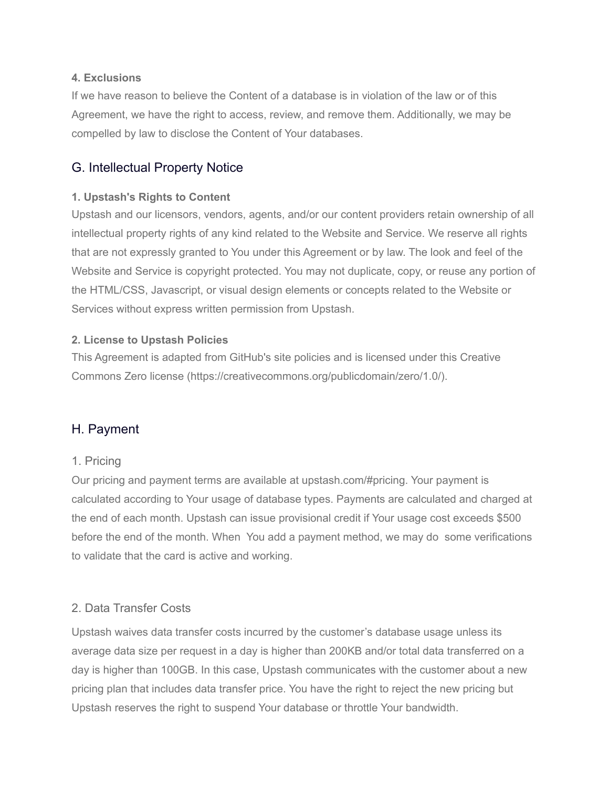#### **4. Exclusions**

If we have reason to believe the Content of a database is in violation of the law or of this Agreement, we have the right to access, review, and remove them. Additionally, we may be compelled by law to disclose the Content of Your databases.

# G. Intellectual Property Notice

### **1. Upstash's Rights to Content**

Upstash and our licensors, vendors, agents, and/or our content providers retain ownership of all intellectual property rights of any kind related to the Website and Service. We reserve all rights that are not expressly granted to You under this Agreement or by law. The look and feel of the Website and Service is copyright protected. You may not duplicate, copy, or reuse any portion of the HTML/CSS, Javascript, or visual design elements or concepts related to the Website or Services without express written permission from Upstash.

### **2. License to Upstash Policies**

This Agreement is adapted from GitHub's site policies and is licensed under this Creative Commons Zero license (https://creativecommons.org/publicdomain/zero/1.0/).

# H. Payment

# 1. Pricing

Our pricing and payment terms are available at upstash.com/#pricing. Your payment is calculated according to Your usage of database types. Payments are calculated and charged at the end of each month. Upstash can issue provisional credit if Your usage cost exceeds \$500 before the end of the month. When You add a payment method, we may do some verifications to validate that the card is active and working.

# 2. Data Transfer Costs

Upstash waives data transfer costs incurred by the customer's database usage unless its average data size per request in a day is higher than 200KB and/or total data transferred on a day is higher than 100GB. In this case, Upstash communicates with the customer about a new pricing plan that includes data transfer price. You have the right to reject the new pricing but Upstash reserves the right to suspend Your database or throttle Your bandwidth.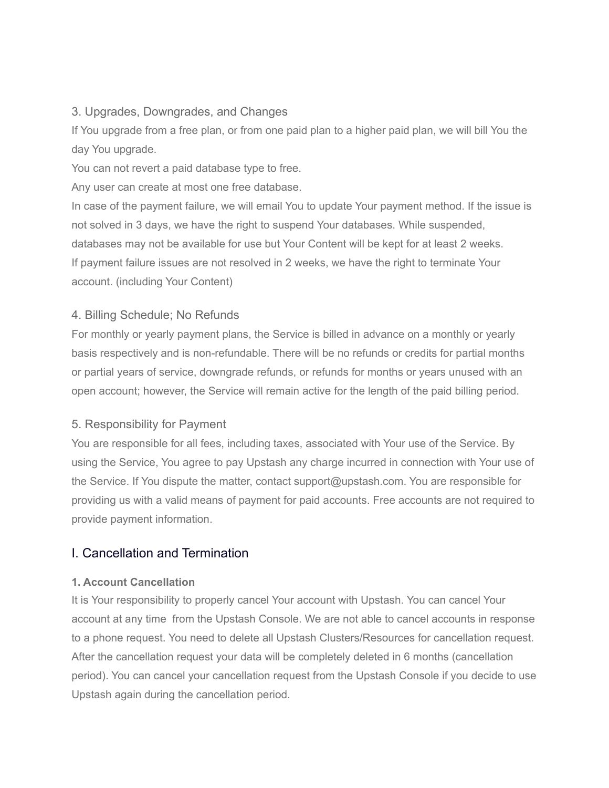### 3. Upgrades, Downgrades, and Changes

If You upgrade from a free plan, or from one paid plan to a higher paid plan, we will bill You the day You upgrade.

You can not revert a paid database type to free.

Any user can create at most one free database.

In case of the payment failure, we will email You to update Your payment method. If the issue is not solved in 3 days, we have the right to suspend Your databases. While suspended, databases may not be available for use but Your Content will be kept for at least 2 weeks. If payment failure issues are not resolved in 2 weeks, we have the right to terminate Your account. (including Your Content)

# 4. Billing Schedule; No Refunds

For monthly or yearly payment plans, the Service is billed in advance on a monthly or yearly basis respectively and is non-refundable. There will be no refunds or credits for partial months or partial years of service, downgrade refunds, or refunds for months or years unused with an open account; however, the Service will remain active for the length of the paid billing period.

# 5. Responsibility for Payment

You are responsible for all fees, including taxes, associated with Your use of the Service. By using the Service, You agree to pay Upstash any charge incurred in connection with Your use of the Service. If You dispute the matter, contact support@upstash.com. You are responsible for providing us with a valid means of payment for paid accounts. Free accounts are not required to provide payment information.

# I. Cancellation and Termination

#### **1. Account Cancellation**

It is Your responsibility to properly cancel Your account with Upstash. You can cancel Your account at any time from the Upstash Console. We are not able to cancel accounts in response to a phone request. You need to delete all Upstash Clusters/Resources for cancellation request. After the cancellation request your data will be completely deleted in 6 months (cancellation period). You can cancel your cancellation request from the Upstash Console if you decide to use Upstash again during the cancellation period.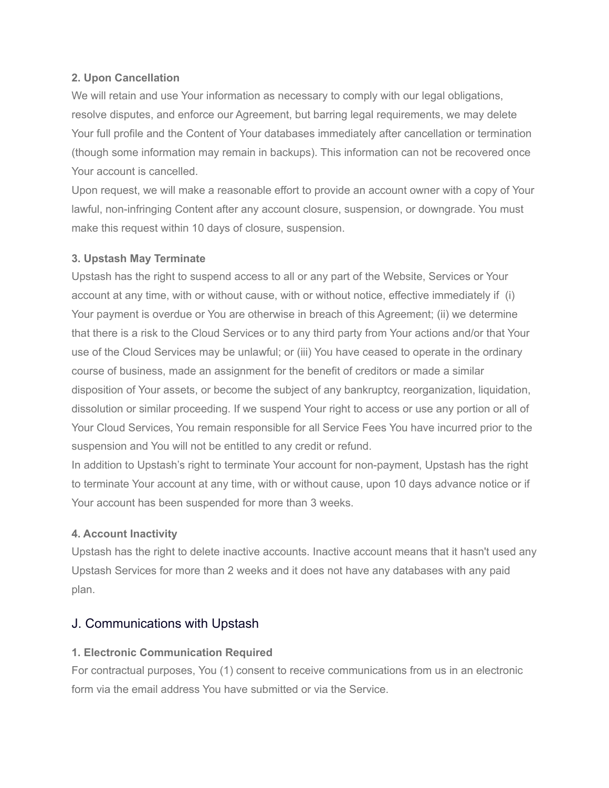#### **2. Upon Cancellation**

We will retain and use Your information as necessary to comply with our legal obligations, resolve disputes, and enforce our Agreement, but barring legal requirements, we may delete Your full profile and the Content of Your databases immediately after cancellation or termination (though some information may remain in backups). This information can not be recovered once Your account is cancelled.

Upon request, we will make a reasonable effort to provide an account owner with a copy of Your lawful, non-infringing Content after any account closure, suspension, or downgrade. You must make this request within 10 days of closure, suspension.

#### **3. Upstash May Terminate**

Upstash has the right to suspend access to all or any part of the Website, Services or Your account at any time, with or without cause, with or without notice, effective immediately if (i) Your payment is overdue or You are otherwise in breach of this Agreement; (ii) we determine that there is a risk to the Cloud Services or to any third party from Your actions and/or that Your use of the Cloud Services may be unlawful; or (iii) You have ceased to operate in the ordinary course of business, made an assignment for the benefit of creditors or made a similar disposition of Your assets, or become the subject of any bankruptcy, reorganization, liquidation, dissolution or similar proceeding. If we suspend Your right to access or use any portion or all of Your Cloud Services, You remain responsible for all Service Fees You have incurred prior to the suspension and You will not be entitled to any credit or refund.

In addition to Upstash's right to terminate Your account for non-payment, Upstash has the right to terminate Your account at any time, with or without cause, upon 10 days advance notice or if Your account has been suspended for more than 3 weeks.

#### **4. Account Inactivity**

Upstash has the right to delete inactive accounts. Inactive account means that it hasn't used any Upstash Services for more than 2 weeks and it does not have any databases with any paid plan.

# J. Communications with Upstash

#### **1. Electronic Communication Required**

For contractual purposes, You (1) consent to receive communications from us in an electronic form via the email address You have submitted or via the Service.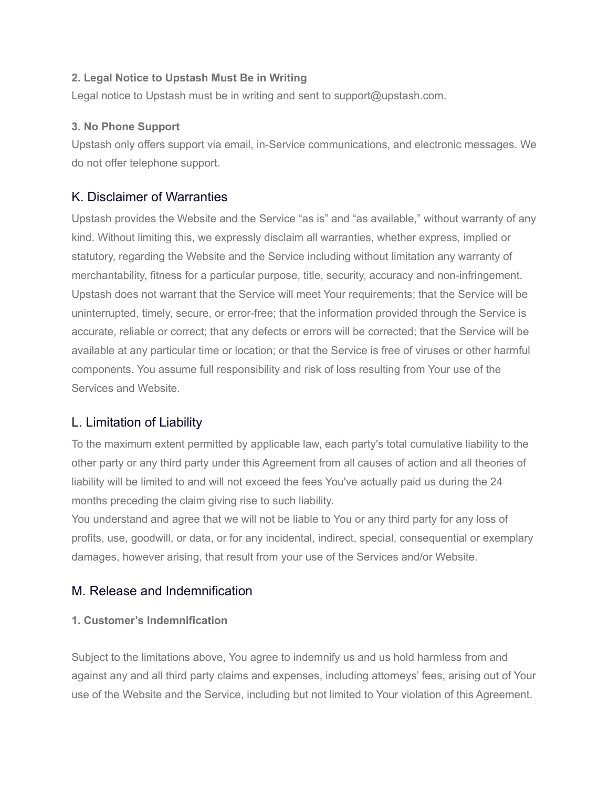#### **2. Legal Notice to Upstash Must Be in Writing**

Legal notice to Upstash must be in writing and sent to support@upstash.com.

#### **3. No Phone Support**

Upstash only offers support via email, in-Service communications, and electronic messages. We do not offer telephone support.

# K. Disclaimer of Warranties

Upstash provides the Website and the Service "as is" and "as available," without warranty of any kind. Without limiting this, we expressly disclaim all warranties, whether express, implied or statutory, regarding the Website and the Service including without limitation any warranty of merchantability, fitness for a particular purpose, title, security, accuracy and non-infringement. Upstash does not warrant that the Service will meet Your requirements; that the Service will be uninterrupted, timely, secure, or error-free; that the information provided through the Service is accurate, reliable or correct; that any defects or errors will be corrected; that the Service will be available at any particular time or location; or that the Service is free of viruses or other harmful components. You assume full responsibility and risk of loss resulting from Your use of the Services and Website.

# L. Limitation of Liability

To the maximum extent permitted by applicable law, each party's total cumulative liability to the other party or any third party under this Agreement from all causes of action and all theories of liability will be limited to and will not exceed the fees You've actually paid us during the 24 months preceding the claim giving rise to such liability.

You understand and agree that we will not be liable to You or any third party for any loss of profits, use, goodwill, or data, or for any incidental, indirect, special, consequential or exemplary damages, however arising, that result from your use of the Services and/or Website.

# M. Release and Indemnification

#### **1. Customer's Indemnification**

Subject to the limitations above, You agree to indemnify us and us hold harmless from and against any and all third party claims and expenses, including attorneys' fees, arising out of Your use of the Website and the Service, including but not limited to Your violation of this Agreement.